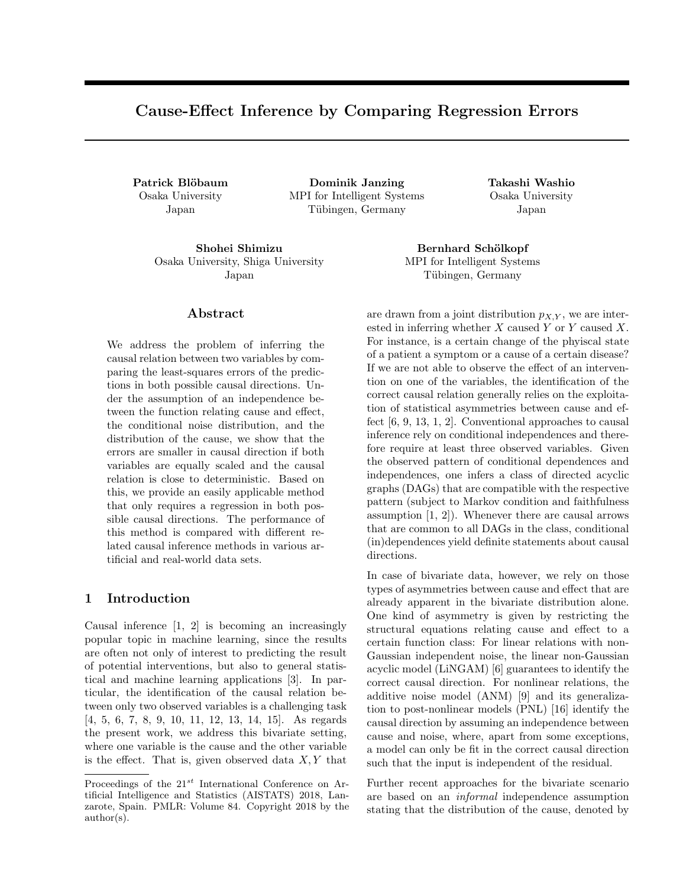# Cause-Effect Inference by Comparing Regression Errors

Osaka University Japan

Patrick Blöbaum **Dominik Janzing Takashi Washio** MPI for Intelligent Systems Tübingen, Germany

Shohei Shimizu Bernhard Schölkopf Osaka University, Shiga University

Osaka University Japan

MPI for Intelligent Systems Tübingen, Germany

Abstract

Japan

We address the problem of inferring the causal relation between two variables by comparing the least-squares errors of the predictions in both possible causal directions. Under the assumption of an independence between the function relating cause and effect, the conditional noise distribution, and the distribution of the cause, we show that the errors are smaller in causal direction if both variables are equally scaled and the causal relation is close to deterministic. Based on this, we provide an easily applicable method that only requires a regression in both possible causal directions. The performance of this method is compared with different related causal inference methods in various artificial and real-world data sets.

# 1 Introduction

Causal inference [1, 2] is becoming an increasingly popular topic in machine learning, since the results are often not only of interest to predicting the result of potential interventions, but also to general statistical and machine learning applications [3]. In particular, the identification of the causal relation between only two observed variables is a challenging task [4, 5, 6, 7, 8, 9, 10, 11, 12, 13, 14, 15]. As regards the present work, we address this bivariate setting, where one variable is the cause and the other variable is the effect. That is, given observed data  $X, Y$  that

are drawn from a joint distribution  $p_{X,Y}$ , we are interested in inferring whether  $X$  caused  $Y$  or  $Y$  caused  $X$ . For instance, is a certain change of the phyiscal state of a patient a symptom or a cause of a certain disease? If we are not able to observe the effect of an intervention on one of the variables, the identification of the correct causal relation generally relies on the exploitation of statistical asymmetries between cause and effect [6, 9, 13, 1, 2]. Conventional approaches to causal inference rely on conditional independences and therefore require at least three observed variables. Given the observed pattern of conditional dependences and independences, one infers a class of directed acyclic graphs (DAGs) that are compatible with the respective pattern (subject to Markov condition and faithfulness assumption [1, 2]). Whenever there are causal arrows that are common to all DAGs in the class, conditional (in)dependences yield definite statements about causal directions.

In case of bivariate data, however, we rely on those types of asymmetries between cause and effect that are already apparent in the bivariate distribution alone. One kind of asymmetry is given by restricting the structural equations relating cause and effect to a certain function class: For linear relations with non-Gaussian independent noise, the linear non-Gaussian acyclic model (LiNGAM) [6] guarantees to identify the correct causal direction. For nonlinear relations, the additive noise model (ANM) [9] and its generalization to post-nonlinear models (PNL) [16] identify the causal direction by assuming an independence between cause and noise, where, apart from some exceptions, a model can only be fit in the correct causal direction such that the input is independent of the residual.

Further recent approaches for the bivariate scenario are based on an informal independence assumption stating that the distribution of the cause, denoted by

Proceedings of the  $21^{st}$  International Conference on Artificial Intelligence and Statistics (AISTATS) 2018, Lanzarote, Spain. PMLR: Volume 84. Copyright 2018 by the author(s).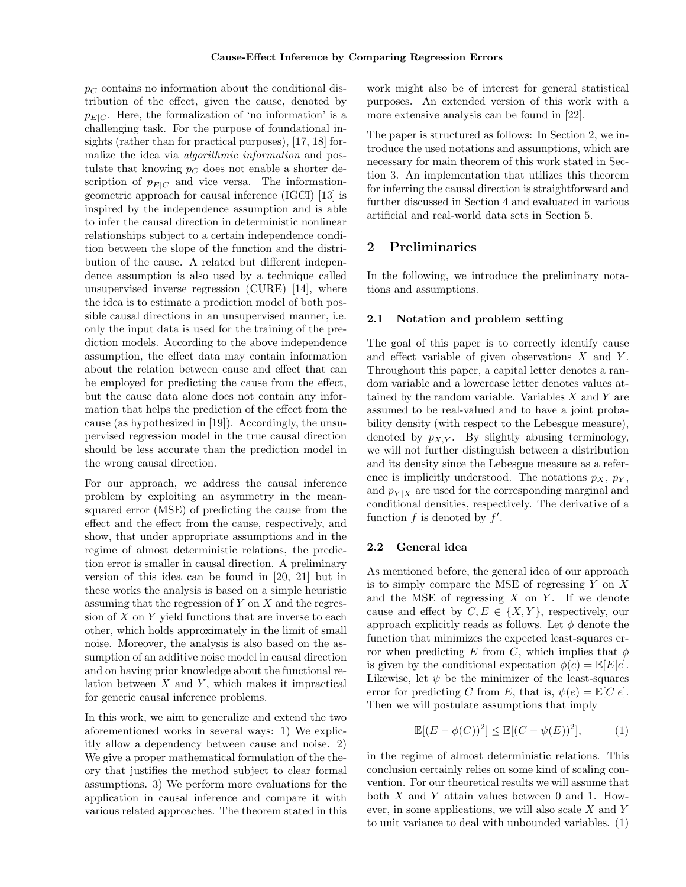$p_C$  contains no information about the conditional distribution of the effect, given the cause, denoted by  $p_{E|C}$ . Here, the formalization of 'no information' is a challenging task. For the purpose of foundational insights (rather than for practical purposes), [17, 18] formalize the idea via *algorithmic information* and postulate that knowing  $p<sub>C</sub>$  does not enable a shorter description of  $p_{E|C}$  and vice versa. The informationgeometric approach for causal inference (IGCI) [13] is inspired by the independence assumption and is able to infer the causal direction in deterministic nonlinear relationships subject to a certain independence condition between the slope of the function and the distribution of the cause. A related but different independence assumption is also used by a technique called unsupervised inverse regression (CURE) [14], where the idea is to estimate a prediction model of both possible causal directions in an unsupervised manner, i.e. only the input data is used for the training of the prediction models. According to the above independence assumption, the effect data may contain information about the relation between cause and effect that can be employed for predicting the cause from the effect, but the cause data alone does not contain any information that helps the prediction of the effect from the cause (as hypothesized in [19]). Accordingly, the unsupervised regression model in the true causal direction should be less accurate than the prediction model in the wrong causal direction.

For our approach, we address the causal inference problem by exploiting an asymmetry in the meansquared error (MSE) of predicting the cause from the effect and the effect from the cause, respectively, and show, that under appropriate assumptions and in the regime of almost deterministic relations, the prediction error is smaller in causal direction. A preliminary version of this idea can be found in [20, 21] but in these works the analysis is based on a simple heuristic assuming that the regression of  $Y$  on  $X$  and the regression of  $X$  on  $Y$  yield functions that are inverse to each other, which holds approximately in the limit of small noise. Moreover, the analysis is also based on the assumption of an additive noise model in causal direction and on having prior knowledge about the functional relation between  $X$  and  $Y$ , which makes it impractical for generic causal inference problems.

In this work, we aim to generalize and extend the two aforementioned works in several ways: 1) We explicitly allow a dependency between cause and noise. 2) We give a proper mathematical formulation of the theory that justifies the method subject to clear formal assumptions. 3) We perform more evaluations for the application in causal inference and compare it with various related approaches. The theorem stated in this

work might also be of interest for general statistical purposes. An extended version of this work with a more extensive analysis can be found in [22].

The paper is structured as follows: In Section 2, we introduce the used notations and assumptions, which are necessary for main theorem of this work stated in Section 3. An implementation that utilizes this theorem for inferring the causal direction is straightforward and further discussed in Section 4 and evaluated in various artificial and real-world data sets in Section 5.

# 2 Preliminaries

In the following, we introduce the preliminary notations and assumptions.

# 2.1 Notation and problem setting

The goal of this paper is to correctly identify cause and effect variable of given observations  $X$  and  $Y$ . Throughout this paper, a capital letter denotes a random variable and a lowercase letter denotes values attained by the random variable. Variables  $X$  and  $Y$  are assumed to be real-valued and to have a joint probability density (with respect to the Lebesgue measure), denoted by  $p_{X,Y}$ . By slightly abusing terminology, we will not further distinguish between a distribution and its density since the Lebesgue measure as a reference is implicitly understood. The notations  $p_X$ ,  $p_Y$ , and  $p_{Y|X}$  are used for the corresponding marginal and conditional densities, respectively. The derivative of a function  $f$  is denoted by  $f'$ .

#### 2.2 General idea

As mentioned before, the general idea of our approach is to simply compare the MSE of regressing  $Y$  on  $X$ and the MSE of regressing  $X$  on  $Y$ . If we denote cause and effect by  $C, E \in \{X, Y\}$ , respectively, our approach explicitly reads as follows. Let  $\phi$  denote the function that minimizes the expected least-squares error when predicting E from C, which implies that  $\phi$ is given by the conditional expectation  $\phi(c) = \mathbb{E}[E|c]$ . Likewise, let  $\psi$  be the minimizer of the least-squares error for predicting C from E, that is,  $\psi(e) = \mathbb{E}[C|e]$ . Then we will postulate assumptions that imply

$$
\mathbb{E}[(E - \phi(C))^2] \le \mathbb{E}[(C - \psi(E))^2],\tag{1}
$$

in the regime of almost deterministic relations. This conclusion certainly relies on some kind of scaling convention. For our theoretical results we will assume that both  $X$  and  $Y$  attain values between 0 and 1. However, in some applications, we will also scale X and Y to unit variance to deal with unbounded variables. (1)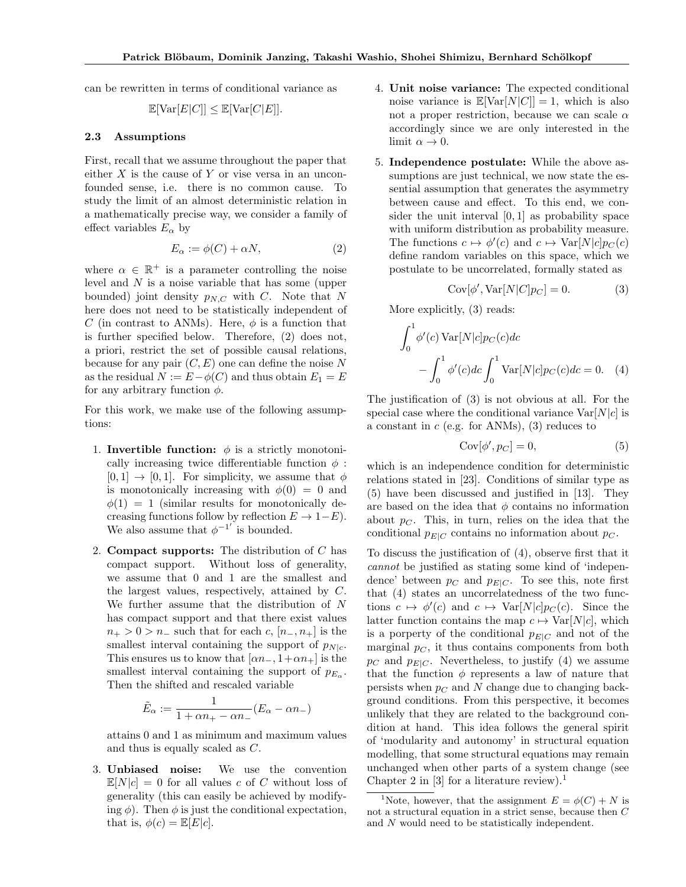can be rewritten in terms of conditional variance as

$$
\mathbb{E}[\text{Var}[E|C]] \le \mathbb{E}[\text{Var}[C|E]].
$$

## 2.3 Assumptions

First, recall that we assume throughout the paper that either  $X$  is the cause of  $Y$  or vise versa in an unconfounded sense, i.e. there is no common cause. To study the limit of an almost deterministic relation in a mathematically precise way, we consider a family of effect variables  $E_{\alpha}$  by

$$
E_{\alpha} := \phi(C) + \alpha N, \tag{2}
$$

where  $\alpha \in \mathbb{R}^+$  is a parameter controlling the noise level and N is a noise variable that has some (upper bounded) joint density  $p_{N,C}$  with C. Note that N here does not need to be statistically independent of C (in contrast to ANMs). Here,  $\phi$  is a function that is further specified below. Therefore, (2) does not, a priori, restrict the set of possible causal relations, because for any pair  $(C, E)$  one can define the noise N as the residual  $N := E - \phi(C)$  and thus obtain  $E_1 = E$ for any arbitrary function  $\phi$ .

For this work, we make use of the following assumptions:

- 1. Invertible function:  $\phi$  is a strictly monotonically increasing twice differentiable function  $\phi$ :  $[0, 1] \rightarrow [0, 1]$ . For simplicity, we assume that  $\phi$ is monotonically increasing with  $\phi(0) = 0$  and  $\phi(1) = 1$  (similar results for monotonically decreasing functions follow by reflection  $E \to 1-E$ ). We also assume that  $\phi^{-1'}$  is bounded.
- 2. **Compact supports:** The distribution of  $C$  has compact support. Without loss of generality, we assume that 0 and 1 are the smallest and the largest values, respectively, attained by C. We further assume that the distribution of N has compact support and that there exist values  $n_{+} > 0 > n_{-}$  such that for each c,  $[n_{-}, n_{+}]$  is the smallest interval containing the support of  $p_{N|c}$ . This ensures us to know that  $[\alpha n_-, 1+\alpha n_+]$  is the smallest interval containing the support of  $p_{E_{\alpha}}$ . Then the shifted and rescaled variable

$$
\tilde{E}_{\alpha} := \frac{1}{1 + \alpha n_{+} - \alpha n_{-}} (E_{\alpha} - \alpha n_{-})
$$

attains 0 and 1 as minimum and maximum values and thus is equally scaled as C.

3. Unbiased noise: We use the convention  $\mathbb{E}[N|c] = 0$  for all values c of C without loss of generality (this can easily be achieved by modifying  $\phi$ ). Then  $\phi$  is just the conditional expectation, that is,  $\phi(c) = \mathbb{E}[E|c]$ .

- 4. Unit noise variance: The expected conditional noise variance is  $\mathbb{E}[Var[N|C]] = 1$ , which is also not a proper restriction, because we can scale  $\alpha$ accordingly since we are only interested in the limit  $\alpha \to 0$ .
- 5. Independence postulate: While the above assumptions are just technical, we now state the essential assumption that generates the asymmetry between cause and effect. To this end, we consider the unit interval [0, 1] as probability space with uniform distribution as probability measure. The functions  $c \mapsto \phi'(c)$  and  $c \mapsto \text{Var}[N|c]p_C(c)$ define random variables on this space, which we postulate to be uncorrelated, formally stated as

$$
Cov[\phi', Var[N|C]p_C] = 0.
$$
 (3)

More explicitly, (3) reads:

$$
\int_0^1 \phi'(c) \operatorname{Var}[N|c] p_C(c) dc
$$

$$
- \int_0^1 \phi'(c) dc \int_0^1 \operatorname{Var}[N|c] p_C(c) dc = 0. \quad (4)
$$

The justification of (3) is not obvious at all. For the special case where the conditional variance  $Var[N|c]$  is a constant in  $c$  (e.g. for ANMs), (3) reduces to

$$
Cov[\phi', p_C] = 0,\t\t(5)
$$

which is an independence condition for deterministic relations stated in [23]. Conditions of similar type as (5) have been discussed and justified in [13]. They are based on the idea that  $\phi$  contains no information about  $p<sub>C</sub>$ . This, in turn, relies on the idea that the conditional  $p_{E|C}$  contains no information about  $p_C$ .

To discuss the justification of (4), observe first that it cannot be justified as stating some kind of 'independence' between  $p_C$  and  $p_{E|C}$ . To see this, note first that (4) states an uncorrelatedness of the two functions  $c \mapsto \phi'(c)$  and  $c \mapsto \text{Var}[N|c]p_C(c)$ . Since the latter function contains the map  $c \mapsto \text{Var}[N|c]$ , which is a porperty of the conditional  $p_{E|C}$  and not of the marginal  $p<sub>C</sub>$ , it thus contains components from both  $p_C$  and  $p_{E|C}$ . Nevertheless, to justify (4) we assume that the function  $\phi$  represents a law of nature that persists when  $p<sub>C</sub>$  and N change due to changing background conditions. From this perspective, it becomes unlikely that they are related to the background condition at hand. This idea follows the general spirit of 'modularity and autonomy' in structural equation modelling, that some structural equations may remain unchanged when other parts of a system change (see Chapter 2 in [3] for a literature review).<sup>1</sup>

<sup>&</sup>lt;sup>1</sup>Note, however, that the assignment  $E = \phi(C) + N$  is not a structural equation in a strict sense, because then C and N would need to be statistically independent.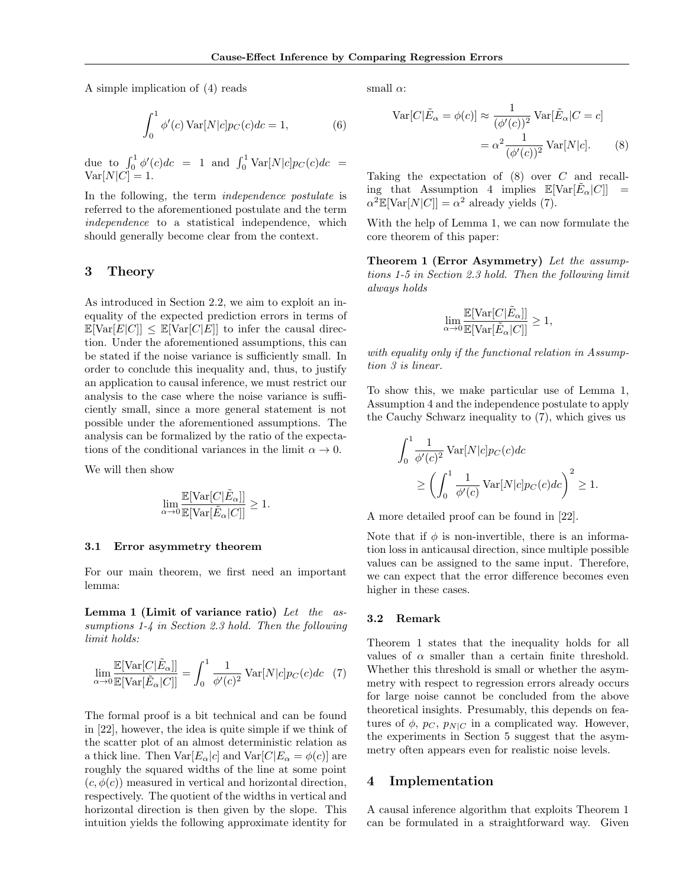A simple implication of (4) reads

$$
\int_0^1 \phi'(c) \operatorname{Var}[N|c] p_C(c) dc = 1,\tag{6}
$$

due to  $\int_0^1 \phi'(c)dc = 1$  and  $\int_0^1 \text{Var}[N|c]p_C(c)dc =$  $Var[N|C] = 1.$ 

In the following, the term independence postulate is referred to the aforementioned postulate and the term independence to a statistical independence, which should generally become clear from the context.

# 3 Theory

As introduced in Section 2.2, we aim to exploit an inequality of the expected prediction errors in terms of  $\mathbb{E}[\text{Var}[E|C]] \leq \mathbb{E}[\text{Var}[C|E]]$  to infer the causal direction. Under the aforementioned assumptions, this can be stated if the noise variance is sufficiently small. In order to conclude this inequality and, thus, to justify an application to causal inference, we must restrict our analysis to the case where the noise variance is sufficiently small, since a more general statement is not possible under the aforementioned assumptions. The analysis can be formalized by the ratio of the expectations of the conditional variances in the limit  $\alpha \to 0$ .

We will then show

$$
\lim_{\alpha \to 0} \frac{\mathbb{E}[\text{Var}[C|\tilde{E}_{\alpha}]]}{\mathbb{E}[\text{Var}[\tilde{E}_{\alpha}|C]]} \ge 1.
$$

#### 3.1 Error asymmetry theorem

For our main theorem, we first need an important lemma:

Lemma 1 (Limit of variance ratio) Let the  $as$ sumptions 1-4 in Section 2.3 hold. Then the following limit holds:

$$
\lim_{\alpha \to 0} \frac{\mathbb{E}[\text{Var}[C|\tilde{E}_{\alpha}]]}{\mathbb{E}[\text{Var}[\tilde{E}_{\alpha}|C]]} = \int_0^1 \frac{1}{\phi'(c)^2} \text{Var}[N|c] p_C(c) dc \quad (7)
$$

The formal proof is a bit technical and can be found in [22], however, the idea is quite simple if we think of the scatter plot of an almost deterministic relation as a thick line. Then  $Var[E_{\alpha}|c]$  and  $Var[C]E_{\alpha} = \phi(c)$  are roughly the squared widths of the line at some point  $(c, \phi(c))$  measured in vertical and horizontal direction, respectively. The quotient of the widths in vertical and horizontal direction is then given by the slope. This intuition yields the following approximate identity for

small  $\alpha$ :

$$
\operatorname{Var}[C|\tilde{E}_{\alpha} = \phi(c)] \approx \frac{1}{(\phi'(c))^2} \operatorname{Var}[\tilde{E}_{\alpha}|C = c]
$$

$$
= \alpha^2 \frac{1}{(\phi'(c))^2} \operatorname{Var}[N|c]. \tag{8}
$$

Taking the expectation of (8) over C and recalling that Assumption 4 implies  $\mathbb{E}[\text{Var}[\tilde{E}_{\alpha}|C]] =$  $\alpha^2 \mathbb{E}[\text{Var}[N|C]] = \alpha^2$  already yields (7).

With the help of Lemma 1, we can now formulate the core theorem of this paper:

Theorem 1 (Error Asymmetry) Let the assumptions 1-5 in Section 2.3 hold. Then the following limit always holds

$$
\lim_{\alpha\to 0}\frac{\mathbb{E}[\text{Var}[C|\tilde{E}_{\alpha}]]}{\mathbb{E}[\text{Var}[\tilde{E}_{\alpha}|C]]}\geq 1,
$$

with equality only if the functional relation in Assumption 3 is linear.

To show this, we make particular use of Lemma 1, Assumption 4 and the independence postulate to apply the Cauchy Schwarz inequality to (7), which gives us

$$
\int_0^1 \frac{1}{\phi'(c)^2} \operatorname{Var}[N|c] p_C(c) dc
$$
  
 
$$
\geq \left( \int_0^1 \frac{1}{\phi'(c)} \operatorname{Var}[N|c] p_C(c) dc \right)^2 \geq 1.
$$

A more detailed proof can be found in [22].

Note that if  $\phi$  is non-invertible, there is an information loss in anticausal direction, since multiple possible values can be assigned to the same input. Therefore, we can expect that the error difference becomes even higher in these cases.

#### 3.2 Remark

Theorem 1 states that the inequality holds for all values of  $\alpha$  smaller than a certain finite threshold. Whether this threshold is small or whether the asymmetry with respect to regression errors already occurs for large noise cannot be concluded from the above theoretical insights. Presumably, this depends on features of  $\phi$ ,  $p_C$ ,  $p_{N|C}$  in a complicated way. However, the experiments in Section 5 suggest that the asymmetry often appears even for realistic noise levels.

# 4 Implementation

A causal inference algorithm that exploits Theorem 1 can be formulated in a straightforward way. Given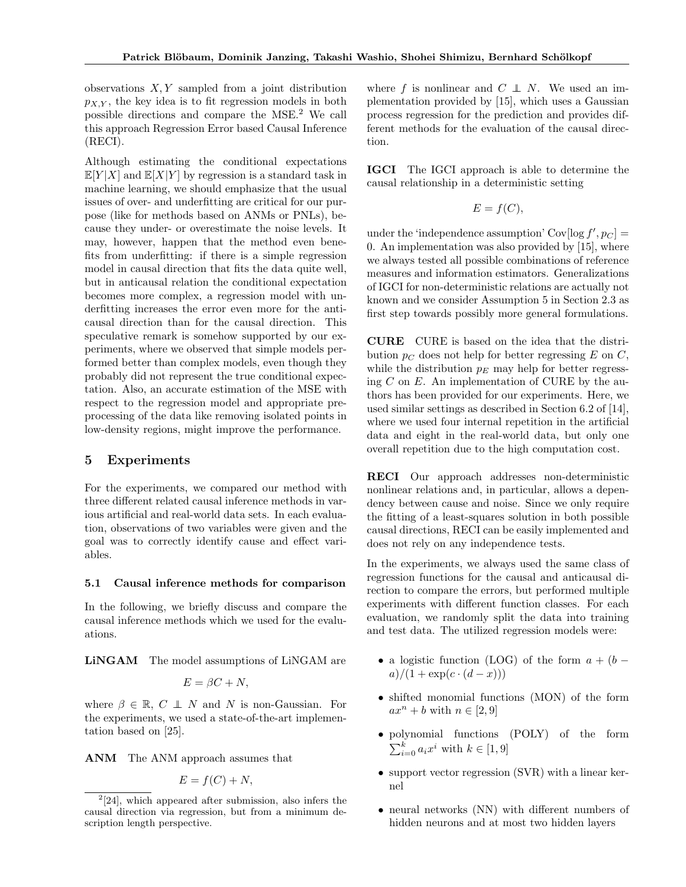observations  $X, Y$  sampled from a joint distribution  $p_{XY}$ , the key idea is to fit regression models in both possible directions and compare the MSE.<sup>2</sup> We call this approach Regression Error based Causal Inference (RECI).

Although estimating the conditional expectations  $\mathbb{E}[Y|X]$  and  $\mathbb{E}[X|Y]$  by regression is a standard task in machine learning, we should emphasize that the usual issues of over- and underfitting are critical for our purpose (like for methods based on ANMs or PNLs), because they under- or overestimate the noise levels. It may, however, happen that the method even benefits from underfitting: if there is a simple regression model in causal direction that fits the data quite well, but in anticausal relation the conditional expectation becomes more complex, a regression model with underfitting increases the error even more for the anticausal direction than for the causal direction. This speculative remark is somehow supported by our experiments, where we observed that simple models performed better than complex models, even though they probably did not represent the true conditional expectation. Also, an accurate estimation of the MSE with respect to the regression model and appropriate preprocessing of the data like removing isolated points in low-density regions, might improve the performance.

# 5 Experiments

For the experiments, we compared our method with three different related causal inference methods in various artificial and real-world data sets. In each evaluation, observations of two variables were given and the goal was to correctly identify cause and effect variables.

## 5.1 Causal inference methods for comparison

In the following, we briefly discuss and compare the causal inference methods which we used for the evaluations.

LiNGAM The model assumptions of LiNGAM are

$$
E = \beta C + N,
$$

where  $\beta \in \mathbb{R}$ ,  $C \perp N$  and N is non-Gaussian. For the experiments, we used a state-of-the-art implementation based on [25].

ANM The ANM approach assumes that

$$
E = f(C) + N,
$$

where f is nonlinear and  $C \perp N$ . We used an implementation provided by [15], which uses a Gaussian process regression for the prediction and provides different methods for the evaluation of the causal direction.

IGCI The IGCI approach is able to determine the causal relationship in a deterministic setting

$$
E = f(C),
$$

under the 'independence assumption'  $Cov[log f', p_C] =$ 0. An implementation was also provided by [15], where we always tested all possible combinations of reference measures and information estimators. Generalizations of IGCI for non-deterministic relations are actually not known and we consider Assumption 5 in Section 2.3 as first step towards possibly more general formulations.

CURE CURE is based on the idea that the distribution  $p_C$  does not help for better regressing E on C, while the distribution  $p_E$  may help for better regressing  $C$  on  $E$ . An implementation of CURE by the authors has been provided for our experiments. Here, we used similar settings as described in Section 6.2 of [14], where we used four internal repetition in the artificial data and eight in the real-world data, but only one overall repetition due to the high computation cost.

RECI Our approach addresses non-deterministic nonlinear relations and, in particular, allows a dependency between cause and noise. Since we only require the fitting of a least-squares solution in both possible causal directions, RECI can be easily implemented and does not rely on any independence tests.

In the experiments, we always used the same class of regression functions for the causal and anticausal direction to compare the errors, but performed multiple experiments with different function classes. For each evaluation, we randomly split the data into training and test data. The utilized regression models were:

- a logistic function (LOG) of the form  $a + (b$  $a)/(1 + \exp(c \cdot (d - x)))$
- shifted monomial functions (MON) of the form  $ax^n + b$  with  $n \in [2, 9]$
- polynomial functions (POLY) of the form  $\sum_{i=0}^{k} a_i x^i$  with  $k \in [1, 9]$
- support vector regression (SVR) with a linear kernel
- neural networks (NN) with different numbers of hidden neurons and at most two hidden layers

 $2[24]$ , which appeared after submission, also infers the causal direction via regression, but from a minimum description length perspective.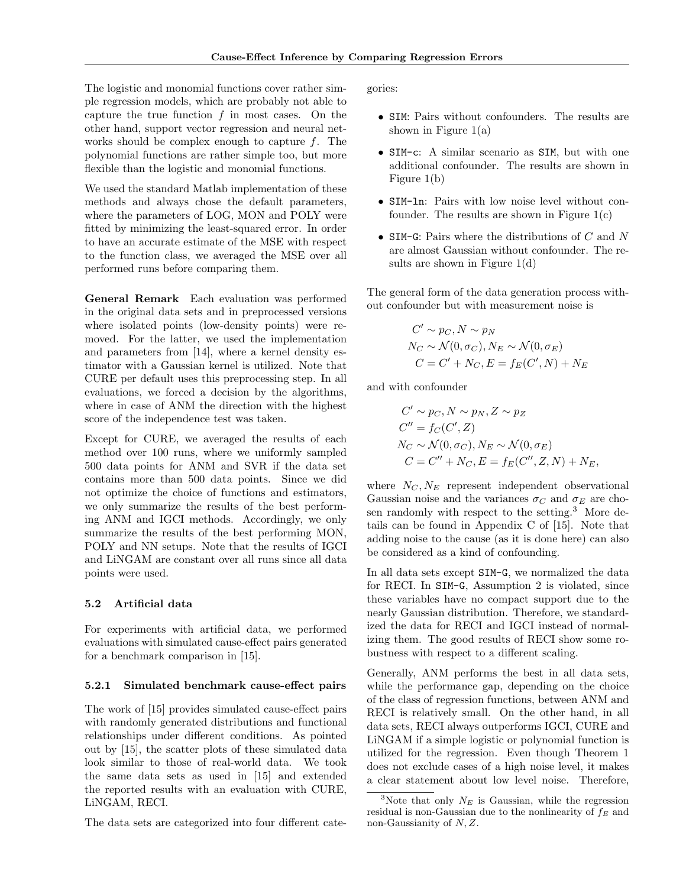The logistic and monomial functions cover rather simple regression models, which are probably not able to capture the true function  $f$  in most cases. On the other hand, support vector regression and neural networks should be complex enough to capture  $f$ . The polynomial functions are rather simple too, but more flexible than the logistic and monomial functions.

We used the standard Matlab implementation of these methods and always chose the default parameters, where the parameters of LOG, MON and POLY were fitted by minimizing the least-squared error. In order to have an accurate estimate of the MSE with respect to the function class, we averaged the MSE over all performed runs before comparing them.

General Remark Each evaluation was performed in the original data sets and in preprocessed versions where isolated points (low-density points) were removed. For the latter, we used the implementation and parameters from [14], where a kernel density estimator with a Gaussian kernel is utilized. Note that CURE per default uses this preprocessing step. In all evaluations, we forced a decision by the algorithms, where in case of ANM the direction with the highest score of the independence test was taken.

Except for CURE, we averaged the results of each method over 100 runs, where we uniformly sampled 500 data points for ANM and SVR if the data set contains more than 500 data points. Since we did not optimize the choice of functions and estimators, we only summarize the results of the best performing ANM and IGCI methods. Accordingly, we only summarize the results of the best performing MON, POLY and NN setups. Note that the results of IGCI and LiNGAM are constant over all runs since all data points were used.

# 5.2 Artificial data

For experiments with artificial data, we performed evaluations with simulated cause-effect pairs generated for a benchmark comparison in [15].

#### 5.2.1 Simulated benchmark cause-effect pairs

The work of [15] provides simulated cause-effect pairs with randomly generated distributions and functional relationships under different conditions. As pointed out by [15], the scatter plots of these simulated data look similar to those of real-world data. We took the same data sets as used in [15] and extended the reported results with an evaluation with CURE, LiNGAM, RECI.

The data sets are categorized into four different cate-

gories:

- SIM: Pairs without confounders. The results are shown in Figure  $1(a)$
- SIM-c: A similar scenario as SIM, but with one additional confounder. The results are shown in Figure 1(b)
- SIM-ln: Pairs with low noise level without confounder. The results are shown in Figure  $1(c)$
- SIM-G: Pairs where the distributions of  $C$  and  $N$ are almost Gaussian without confounder. The results are shown in Figure 1(d)

The general form of the data generation process without confounder but with measurement noise is

$$
C' \sim p_C, N \sim p_N
$$
  
\n
$$
N_C \sim \mathcal{N}(0, \sigma_C), N_E \sim \mathcal{N}(0, \sigma_E)
$$
  
\n
$$
C = C' + N_C, E = f_E(C', N) + N_E
$$

and with confounder

$$
C' \sim p_C, N \sim p_N, Z \sim p_Z
$$
  
\n
$$
C'' = f_C(C', Z)
$$
  
\n
$$
N_C \sim \mathcal{N}(0, \sigma_C), N_E \sim \mathcal{N}(0, \sigma_E)
$$
  
\n
$$
C = C'' + N_C, E = f_E(C'', Z, N) + N_E,
$$

where  $N_C, N_E$  represent independent observational Gaussian noise and the variances  $\sigma_C$  and  $\sigma_E$  are chosen randomly with respect to the setting.<sup>3</sup> More details can be found in Appendix C of [15]. Note that adding noise to the cause (as it is done here) can also be considered as a kind of confounding.

In all data sets except SIM-G, we normalized the data for RECI. In SIM-G, Assumption 2 is violated, since these variables have no compact support due to the nearly Gaussian distribution. Therefore, we standardized the data for RECI and IGCI instead of normalizing them. The good results of RECI show some robustness with respect to a different scaling.

Generally, ANM performs the best in all data sets, while the performance gap, depending on the choice of the class of regression functions, between ANM and RECI is relatively small. On the other hand, in all data sets, RECI always outperforms IGCI, CURE and LiNGAM if a simple logistic or polynomial function is utilized for the regression. Even though Theorem 1 does not exclude cases of a high noise level, it makes a clear statement about low level noise. Therefore,

<sup>&</sup>lt;sup>3</sup>Note that only  $N_E$  is Gaussian, while the regression residual is non-Gaussian due to the nonlinearity of  $f_E$  and non-Gaussianity of  $N, Z$ .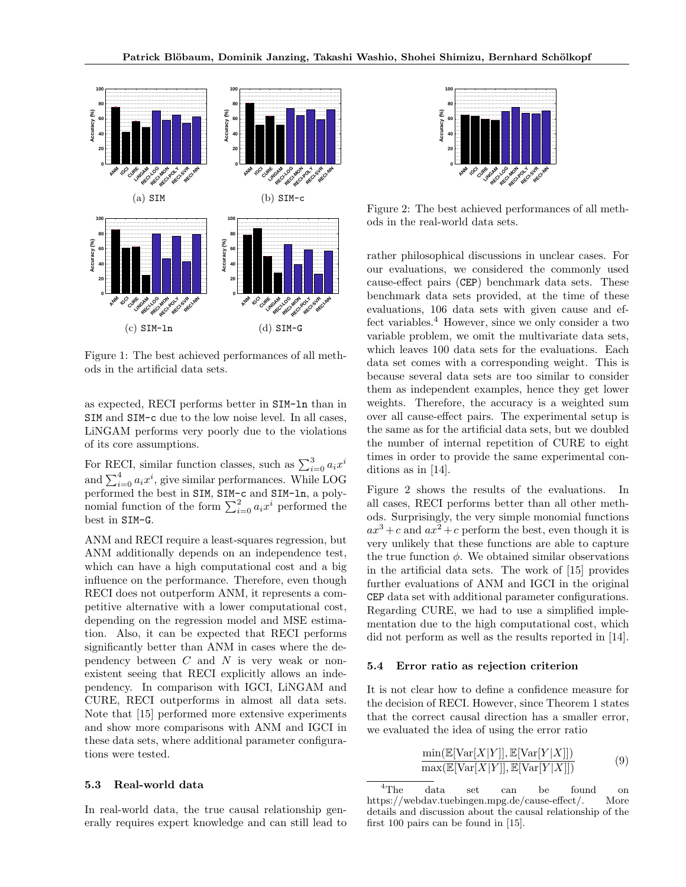

Figure 1: The best achieved performances of all methods in the artificial data sets.

as expected, RECI performs better in SIM-ln than in SIM and SIM-c due to the low noise level. In all cases, LiNGAM performs very poorly due to the violations of its core assumptions.

For RECI, similar function classes, such as  $\sum_{i=0}^{3} a_i x^i$ and  $\sum_{i=0}^{4} a_i x^i$ , give similar performances. While LOG performed the best in SIM, SIM-c and SIM-ln, a polynomial function of the form  $\sum_{i=0}^{2} a_i x^i$  performed the best in SIM-G.

ANM and RECI require a least-squares regression, but ANM additionally depends on an independence test, which can have a high computational cost and a big influence on the performance. Therefore, even though RECI does not outperform ANM, it represents a competitive alternative with a lower computational cost, depending on the regression model and MSE estimation. Also, it can be expected that RECI performs significantly better than ANM in cases where the dependency between  $C$  and  $N$  is very weak or nonexistent seeing that RECI explicitly allows an independency. In comparison with IGCI, LiNGAM and CURE, RECI outperforms in almost all data sets. Note that [15] performed more extensive experiments and show more comparisons with ANM and IGCI in these data sets, where additional parameter configurations were tested. **EXAMPLE 1997**<br>
(a) 818<br>
(a) 818<br>
(a) 818<br>
(a) 818<br>
(a) 818<br>
(a) 818<br>
(a) 818<br>
(a) 818<br>
(a) 818<br>
(a) 818<br>
(a) 818<br>
(a) 818<br>
(a) 818<br>
(a) 818<br>
(a) 818<br>
(a) 818<br>
(a) 818<br>
(a) 818<br>
(a) 818<br>
(a) 818<br>
(a) 818<br>
(a) 818<br>
(a) 818

#### 5.3 Real-world data

In real-world data, the true causal relationship gen-



Figure 2: The best achieved performances of all methods in the real-world data sets.

rather philosophical discussions in unclear cases. For our evaluations, we considered the commonly used cause-effect pairs (CEP) benchmark data sets. These benchmark data sets provided, at the time of these evaluations, 106 data sets with given cause and effect variables.<sup>4</sup> However, since we only consider a two variable problem, we omit the multivariate data sets, which leaves 100 data sets for the evaluations. Each data set comes with a corresponding weight. This is because several data sets are too similar to consider them as independent examples, hence they get lower weights. Therefore, the accuracy is a weighted sum over all cause-effect pairs. The experimental setup is the same as for the artificial data sets, but we doubled the number of internal repetition of CURE to eight times in order to provide the same experimental conditions as in [14].

Figure 2 shows the results of the evaluations. In all cases, RECI performs better than all other methods. Surprisingly, the very simple monomial functions  $ax^{3}+c$  and  $ax^{2}+c$  perform the best, even though it is very unlikely that these functions are able to capture the true function  $\phi$ . We obtained similar observations in the artificial data sets. The work of [15] provides further evaluations of ANM and IGCI in the original CEP data set with additional parameter configurations. Regarding CURE, we had to use a simplified implementation due to the high computational cost, which did not perform as well as the results reported in [14].

## 5.4 Error ratio as rejection criterion

It is not clear how to define a confidence measure for the decision of RECI. However, since Theorem 1 states that the correct causal direction has a smaller error, we evaluated the idea of using the error ratio

$$
\frac{\min(\mathbb{E}[\text{Var}[X|Y]], \mathbb{E}[\text{Var}[Y|X]])}{\max(\mathbb{E}[\text{Var}[X|Y]], \mathbb{E}[\text{Var}[Y|X]])} \tag{9}
$$

<sup>&</sup>lt;sup>4</sup>The data set can be found on https://webdav.tuebingen.mpg.de/cause-effect/. More details and discussion about the causal relationship of the first 100 pairs can be found in [15].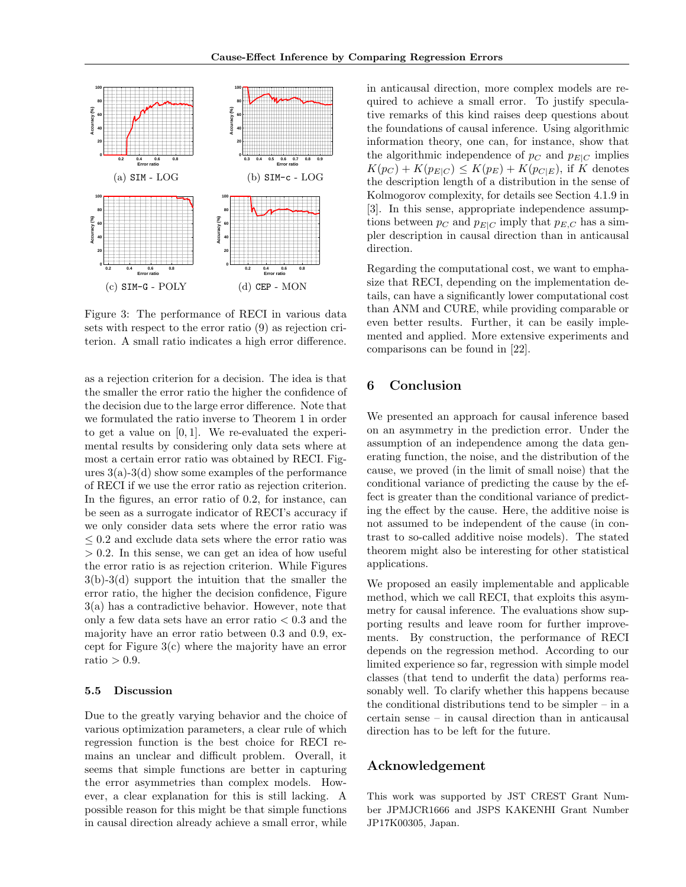

Figure 3: The performance of RECI in various data sets with respect to the error ratio (9) as rejection criterion. A small ratio indicates a high error difference.

as a rejection criterion for a decision. The idea is that the smaller the error ratio the higher the confidence of the decision due to the large error difference. Note that we formulated the ratio inverse to Theorem 1 in order to get a value on  $[0, 1]$ . We re-evaluated the experimental results by considering only data sets where at most a certain error ratio was obtained by RECI. Figures  $3(a)-3(d)$  show some examples of the performance of RECI if we use the error ratio as rejection criterion. In the figures, an error ratio of 0.2, for instance, can be seen as a surrogate indicator of RECI's accuracy if we only consider data sets where the error ratio was  $\leq 0.2$  and exclude data sets where the error ratio was  $> 0.2$ . In this sense, we can get an idea of how useful the error ratio is as rejection criterion. While Figures 3(b)-3(d) support the intuition that the smaller the error ratio, the higher the decision confidence, Figure 3(a) has a contradictive behavior. However, note that only a few data sets have an error ratio  $< 0.3$  and the majority have an error ratio between 0.3 and 0.9, except for Figure 3(c) where the majority have an error ratio  $> 0.9$ .

#### 5.5 Discussion

Due to the greatly varying behavior and the choice of various optimization parameters, a clear rule of which regression function is the best choice for RECI remains an unclear and difficult problem. Overall, it seems that simple functions are better in capturing the error asymmetries than complex models. However, a clear explanation for this is still lacking. A possible reason for this might be that simple functions in causal direction already achieve a small error, while

in anticausal direction, more complex models are required to achieve a small error. To justify speculative remarks of this kind raises deep questions about the foundations of causal inference. Using algorithmic information theory, one can, for instance, show that the algorithmic independence of  $p_C$  and  $p_{E|C}$  implies  $K(p_C) + K(p_{E|C}) \leq K(p_E) + K(p_{C|E})$ , if K denotes the description length of a distribution in the sense of Kolmogorov complexity, for details see Section 4.1.9 in [3]. In this sense, appropriate independence assumptions between  $p_C$  and  $p_{E|C}$  imply that  $p_{E,C}$  has a simpler description in causal direction than in anticausal direction.

Regarding the computational cost, we want to emphasize that RECI, depending on the implementation details, can have a significantly lower computational cost than ANM and CURE, while providing comparable or even better results. Further, it can be easily implemented and applied. More extensive experiments and comparisons can be found in [22].

# 6 Conclusion

We presented an approach for causal inference based on an asymmetry in the prediction error. Under the assumption of an independence among the data generating function, the noise, and the distribution of the cause, we proved (in the limit of small noise) that the conditional variance of predicting the cause by the effect is greater than the conditional variance of predicting the effect by the cause. Here, the additive noise is not assumed to be independent of the cause (in contrast to so-called additive noise models). The stated theorem might also be interesting for other statistical applications.

We proposed an easily implementable and applicable method, which we call RECI, that exploits this asymmetry for causal inference. The evaluations show supporting results and leave room for further improvements. By construction, the performance of RECI depends on the regression method. According to our limited experience so far, regression with simple model classes (that tend to underfit the data) performs reasonably well. To clarify whether this happens because the conditional distributions tend to be simpler – in a certain sense – in causal direction than in anticausal direction has to be left for the future.

# Acknowledgement

This work was supported by JST CREST Grant Number JPMJCR1666 and JSPS KAKENHI Grant Number JP17K00305, Japan.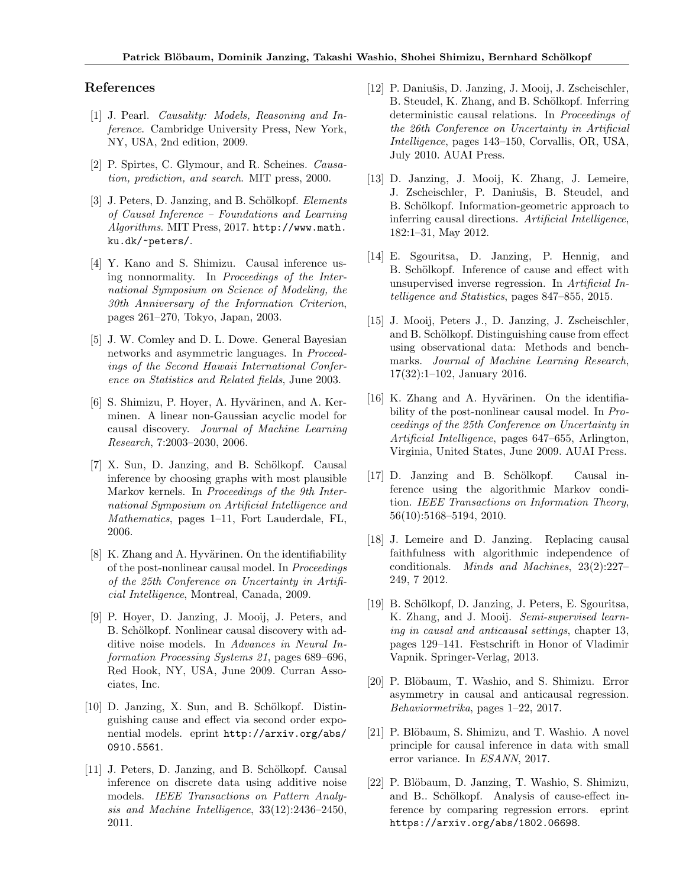# References

- [1] J. Pearl. Causality: Models, Reasoning and Inference. Cambridge University Press, New York, NY, USA, 2nd edition, 2009.
- [2] P. Spirtes, C. Glymour, and R. Scheines. Causation, prediction, and search. MIT press, 2000.
- [3] J. Peters, D. Janzing, and B. Schölkopf. Elements of Causal Inference – Foundations and Learning Algorithms. MIT Press, 2017. http://www.math. ku.dk/~peters/.
- [4] Y. Kano and S. Shimizu. Causal inference using nonnormality. In Proceedings of the International Symposium on Science of Modeling, the 30th Anniversary of the Information Criterion, pages 261–270, Tokyo, Japan, 2003.
- [5] J. W. Comley and D. L. Dowe. General Bayesian networks and asymmetric languages. In Proceedings of the Second Hawaii International Conference on Statistics and Related fields, June 2003.
- [6] S. Shimizu, P. Hoyer, A. Hyvärinen, and A. Kerminen. A linear non-Gaussian acyclic model for causal discovery. Journal of Machine Learning Research, 7:2003–2030, 2006.
- [7] X. Sun, D. Janzing, and B. Schölkopf. Causal inference by choosing graphs with most plausible Markov kernels. In Proceedings of the 9th International Symposium on Artificial Intelligence and Mathematics, pages 1–11, Fort Lauderdale, FL, 2006.
- $[8]$  K. Zhang and A. Hyvärinen. On the identifiability of the post-nonlinear causal model. In Proceedings of the 25th Conference on Uncertainty in Artificial Intelligence, Montreal, Canada, 2009.
- [9] P. Hoyer, D. Janzing, J. Mooij, J. Peters, and B. Schölkopf. Nonlinear causal discovery with additive noise models. In Advances in Neural Information Processing Systems 21, pages 689–696, Red Hook, NY, USA, June 2009. Curran Associates, Inc.
- $[10]$  D. Janzing, X. Sun, and B. Schölkopf. Distinguishing cause and effect via second order exponential models. eprint http://arxiv.org/abs/ 0910.5561.
- [11] J. Peters, D. Janzing, and B. Schölkopf. Causal inference on discrete data using additive noise models. IEEE Transactions on Pattern Analysis and Machine Intelligence, 33(12):2436–2450, 2011.
- [12] P. Daniušis, D. Janzing, J. Mooij, J. Zscheischler, B. Steudel, K. Zhang, and B. Schölkopf. Inferring deterministic causal relations. In Proceedings of the 26th Conference on Uncertainty in Artificial Intelligence, pages 143–150, Corvallis, OR, USA, July 2010. AUAI Press.
- [13] D. Janzing, J. Mooij, K. Zhang, J. Lemeire, J. Zscheischler, P. Daniušis, B. Steudel, and B. Schölkopf. Information-geometric approach to inferring causal directions. Artificial Intelligence, 182:1–31, May 2012.
- [14] E. Sgouritsa, D. Janzing, P. Hennig, and B. Schölkopf. Inference of cause and effect with unsupervised inverse regression. In Artificial Intelligence and Statistics, pages 847–855, 2015.
- [15] J. Mooij, Peters J., D. Janzing, J. Zscheischler, and B. Schölkopf. Distinguishing cause from effect using observational data: Methods and benchmarks. Journal of Machine Learning Research, 17(32):1–102, January 2016.
- $[16]$  K. Zhang and A. Hyvärinen. On the identifiability of the post-nonlinear causal model. In Proceedings of the 25th Conference on Uncertainty in Artificial Intelligence, pages 647–655, Arlington, Virginia, United States, June 2009. AUAI Press.
- [17] D. Janzing and B. Schölkopf. Causal inference using the algorithmic Markov condition. IEEE Transactions on Information Theory, 56(10):5168–5194, 2010.
- [18] J. Lemeire and D. Janzing. Replacing causal faithfulness with algorithmic independence of conditionals. Minds and Machines, 23(2):227– 249, 7 2012.
- [19] B. Schölkopf, D. Janzing, J. Peters, E. Sgouritsa, K. Zhang, and J. Mooij. Semi-supervised learning in causal and anticausal settings, chapter 13, pages 129–141. Festschrift in Honor of Vladimir Vapnik. Springer-Verlag, 2013.
- [20] P. Blöbaum, T. Washio, and S. Shimizu. Error asymmetry in causal and anticausal regression. Behaviormetrika, pages 1–22, 2017.
- [21] P. Blöbaum, S. Shimizu, and T. Washio. A novel principle for causal inference in data with small error variance. In ESANN, 2017.
- [22] P. Blöbaum, D. Janzing, T. Washio, S. Shimizu, and B.. Schölkopf. Analysis of cause-effect inference by comparing regression errors. eprint https://arxiv.org/abs/1802.06698.